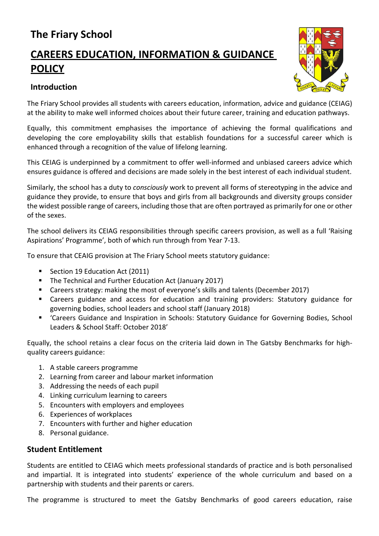# **The Friary School**

# **CAREERS EDUCATION, INFORMATION & GUIDANCE POLICY**

# **Introduction**



The Friary School provides all students with careers education, information, advice and guidance (CEIAG) at the ability to make well informed choices about their future career, training and education pathways.

Equally, this commitment emphasises the importance of achieving the formal qualifications and developing the core employability skills that establish foundations for a successful career which is enhanced through a recognition of the value of lifelong learning.

This CEIAG is underpinned by a commitment to offer well-informed and unbiased careers advice which ensures guidance is offered and decisions are made solely in the best interest of each individual student.

Similarly, the school has a duty to *consciously* work to prevent all forms of stereotyping in the advice and guidance they provide, to ensure that boys and girls from all backgrounds and diversity groups consider the widest possible range of careers, including those that are often portrayed as primarily for one or other of the sexes.

The school delivers its CEIAG responsibilities through specific careers provision, as well as a full 'Raising Aspirations' Programme', both of which run through from Year 7-13.

To ensure that CEAIG provision at The Friary School meets statutory guidance:

- Section 19 Education Act (2011)
- **The Technical and Further Education Act (January 2017)**
- Careers strategy: making the most of everyone's skills and talents (December 2017)
- Careers guidance and access for education and training providers: Statutory guidance for governing bodies, school leaders and school staff (January 2018)
- 'Careers Guidance and Inspiration in Schools: Statutory Guidance for Governing Bodies, School Leaders & School Staff: October 2018'

Equally, the school retains a clear focus on the criteria laid down in The Gatsby Benchmarks for highquality careers guidance:

- 1. A stable careers programme
- 2. Learning from career and labour market information
- 3. Addressing the needs of each pupil
- 4. Linking curriculum learning to careers
- 5. Encounters with employers and employees
- 6. Experiences of workplaces
- 7. Encounters with further and higher education
- 8. Personal guidance.

# **Student Entitlement**

Students are entitled to CEIAG which meets professional standards of practice and is both personalised and impartial. It is integrated into students' experience of the whole curriculum and based on a partnership with students and their parents or carers.

The programme is structured to meet the Gatsby Benchmarks of good careers education, raise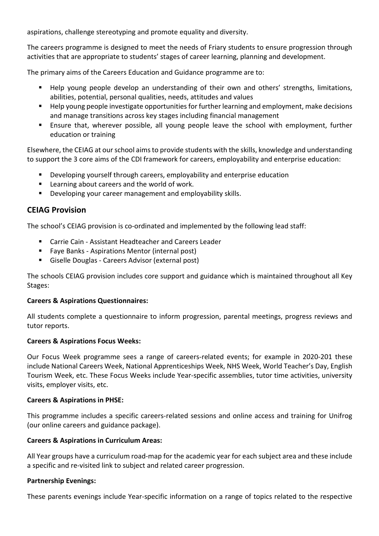aspirations, challenge stereotyping and promote equality and diversity.

The careers programme is designed to meet the needs of Friary students to ensure progression through activities that are appropriate to students' stages of career learning, planning and development.

The primary aims of the Careers Education and Guidance programme are to:

- Help young people develop an understanding of their own and others' strengths, limitations, abilities, potential, personal qualities, needs, attitudes and values
- Help young people investigate opportunities for further learning and employment, make decisions and manage transitions across key stages including financial management
- Ensure that, wherever possible, all young people leave the school with employment, further education or training

Elsewhere, the CEIAG at our school aims to provide students with the skills, knowledge and understanding to support the 3 core aims of the CDI framework for careers, employability and enterprise education:

- Developing yourself through careers, employability and enterprise education
- **EXEC** Learning about careers and the world of work.
- **Developing your career management and employability skills.**

# **CEIAG Provision**

The school's CEIAG provision is co-ordinated and implemented by the following lead staff:

- Carrie Cain Assistant Headteacher and Careers Leader
- **Faye Banks Aspirations Mentor (internal post)**
- Giselle Douglas Careers Advisor (external post)

The schools CEIAG provision includes core support and guidance which is maintained throughout all Key Stages:

#### **Careers & Aspirations Questionnaires:**

All students complete a questionnaire to inform progression, parental meetings, progress reviews and tutor reports.

#### **Careers & Aspirations Focus Weeks:**

Our Focus Week programme sees a range of careers-related events; for example in 2020-201 these include National Careers Week, National Apprenticeships Week, NHS Week, World Teacher's Day, English Tourism Week, etc. These Focus Weeks include Year-specific assemblies, tutor time activities, university visits, employer visits, etc.

#### **Careers & Aspirations in PHSE:**

This programme includes a specific careers-related sessions and online access and training for Unifrog (our online careers and guidance package).

#### **Careers & Aspirations in Curriculum Areas:**

All Year groups have a curriculum road-map for the academic year for each subject area and these include a specific and re-visited link to subject and related career progression.

#### **Partnership Evenings:**

These parents evenings include Year-specific information on a range of topics related to the respective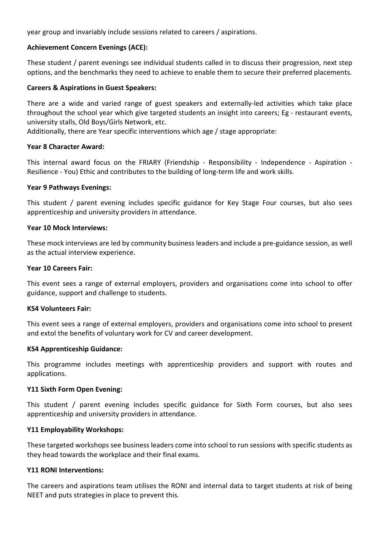year group and invariably include sessions related to careers / aspirations.

# **Achievement Concern Evenings (ACE):**

These student / parent evenings see individual students called in to discuss their progression, next step options, and the benchmarks they need to achieve to enable them to secure their preferred placements.

## **Careers & Aspirations in Guest Speakers:**

There are a wide and varied range of guest speakers and externally-led activities which take place throughout the school year which give targeted students an insight into careers; Eg - restaurant events, university stalls, Old Boys/Girls Network, etc.

Additionally, there are Year specific interventions which age / stage appropriate:

#### **Year 8 Character Award:**

This internal award focus on the FRIARY (Friendship - Responsibility - Independence - Aspiration - Resilience - You) Ethic and contributes to the building of long-term life and work skills.

#### **Year 9 Pathways Evenings:**

This student / parent evening includes specific guidance for Key Stage Four courses, but also sees apprenticeship and university providers in attendance.

#### **Year 10 Mock Interviews:**

These mock interviews are led by community business leaders and include a pre-guidance session, as well as the actual interview experience.

#### **Year 10 Careers Fair:**

This event sees a range of external employers, providers and organisations come into school to offer guidance, support and challenge to students.

#### **KS4 Volunteers Fair:**

This event sees a range of external employers, providers and organisations come into school to present and extol the benefits of voluntary work for CV and career development.

#### **KS4 Apprenticeship Guidance:**

This programme includes meetings with apprenticeship providers and support with routes and applications.

#### **Y11 Sixth Form Open Evening:**

This student / parent evening includes specific guidance for Sixth Form courses, but also sees apprenticeship and university providers in attendance.

#### **Y11 Employability Workshops:**

These targeted workshops see business leaders come into school to run sessions with specific students as they head towards the workplace and their final exams.

#### **Y11 RONI Interventions:**

The careers and aspirations team utilises the RONI and internal data to target students at risk of being NEET and puts strategies in place to prevent this.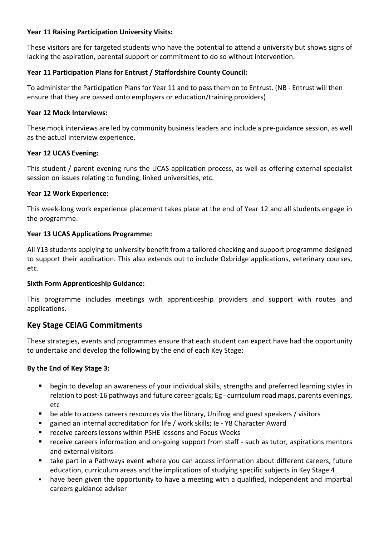# **Year 11 Raising Participation University Visits:**

These visitors are for targeted students who have the potential to attend a university but shows signs of lacking the aspiration, parental support or commitment to do so without intervention.

# **Year 11 Participation Plans for Entrust / Staffordshire County Council:**

To administer the Participation Plans for Year 11 and to pass them on to Entrust. (NB - Entrust will then ensure that they are passed onto employers or education/training providers)

#### **Year 12 Mock Interviews:**

These mock interviews are led by community business leaders and include a pre-guidance session, as well as the actual interview experience.

## **Year 12 UCAS Evening:**

This student / parent evening runs the UCAS application process, as well as offering external specialist session on issues relating to funding, linked universities, etc.

## **Year 12 Work Experience:**

This week-long work experience placement takes place at the end of Year 12 and all students engage in the programme.

## **Year 13 UCAS Applications Programme:**

All Y13 students applying to university benefit from a tailored checking and support programme designed to support their application. This also extends out to include Oxbridge applications, veterinary courses, etc.

# **Sixth Form Apprenticeship Guidance:**

This programme includes meetings with apprenticeship providers and support with routes and applications.

# **Key Stage CEIAG Commitments**

These strategies, events and programmes ensure that each student can expect have had the opportunity to undertake and develop the following by the end of each Key Stage:

#### **By the End of Key Stage 3:**

- begin to develop an awareness of your individual skills, strengths and preferred learning styles in relation to post-16 pathways and future career goals; Eg - curriculum road maps, parents evenings, etc
- be able to access careers resources via the library, Unifrog and guest speakers / visitors
- gained an internal accreditation for life / work skills; Ie Y8 Character Award
- receive careers lessons within PSHE lessons and Focus Weeks
- receive careers information and on-going support from staff such as tutor, aspirations mentors and external visitors
- take part in a Pathways event where you can access information about different careers, future education, curriculum areas and the implications of studying specific subjects in Key Stage 4
- have been given the opportunity to have a meeting with a qualified, independent and impartial careers guidance adviser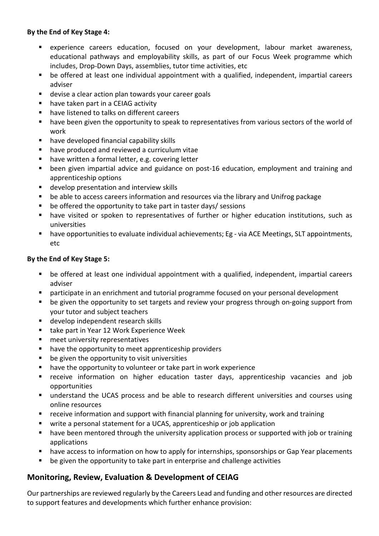# **By the End of Key Stage 4:**

- experience careers education, focused on your development, labour market awareness, educational pathways and employability skills, as part of our Focus Week programme which includes, Drop-Down Days, assemblies, tutor time activities, etc
- be offered at least one individual appointment with a qualified, independent, impartial careers adviser
- **devise a clear action plan towards your career goals**
- have taken part in a CEIAG activity
- have listened to talks on different careers
- have been given the opportunity to speak to representatives from various sectors of the world of work
- have developed financial capability skills
- have produced and reviewed a curriculum vitae
- have written a formal letter, e.g. covering letter
- been given impartial advice and guidance on post-16 education, employment and training and apprenticeship options
- develop presentation and interview skills
- be able to access careers information and resources via the library and Unifrog package
- be offered the opportunity to take part in taster days/ sessions
- have visited or spoken to representatives of further or higher education institutions, such as universities
- have opportunities to evaluate individual achievements; Eg via ACE Meetings, SLT appointments, etc

# **By the End of Key Stage 5:**

- be offered at least one individual appointment with a qualified, independent, impartial careers adviser
- participate in an enrichment and tutorial programme focused on your personal development
- be given the opportunity to set targets and review your progress through on-going support from your tutor and subject teachers
- **develop independent research skills**
- take part in Year 12 Work Experience Week
- meet university representatives
- **•** have the opportunity to meet apprenticeship providers
- be given the opportunity to visit universities
- have the opportunity to volunteer or take part in work experience
- receive information on higher education taster days, apprenticeship vacancies and job opportunities
- understand the UCAS process and be able to research different universities and courses using online resources
- receive information and support with financial planning for university, work and training
- write a personal statement for a UCAS, apprenticeship or job application
- have been mentored through the university application process or supported with job or training applications
- have access to information on how to apply for internships, sponsorships or Gap Year placements
- be given the opportunity to take part in enterprise and challenge activities

# **Monitoring, Review, Evaluation & Development of CEIAG**

Our partnerships are reviewed regularly by the Careers Lead and funding and other resources are directed to support features and developments which further enhance provision: